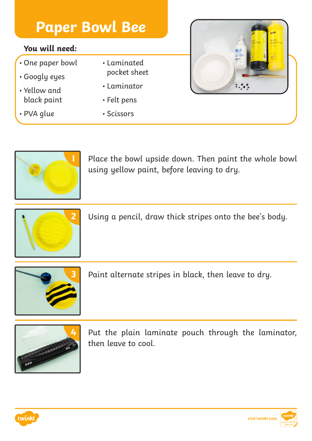#### **You will need:**

- One paper bowl
- Googly eyes
- Yellow and black paint
- PVA glue
- Laminated pocket sheet
- Laminator
- Felt pens
- Scissors





**1** Place the bowl upside down. Then paint the whole bowl using yellow paint, before leaving to dry.



**2** Using a pencil, draw thick stripes onto the bee's body.



**3** Paint alternate stripes in black, then leave to dry.



Put the plain laminate pouch through the laminator, then leave to cool.



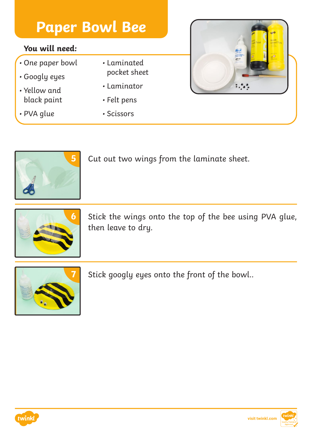#### **You will need:**

- One paper bowl
- Googly eyes
- Yellow and black paint
- PVA glue
- Laminated pocket sheet
- Laminator
- Felt pens
- Scissors





**5** Cut out two wings from the laminate sheet.



**6** Stick the wings onto the top of the bee using PVA glue, then leave to dry.



**7** Stick googly eyes onto the front of the bowl..



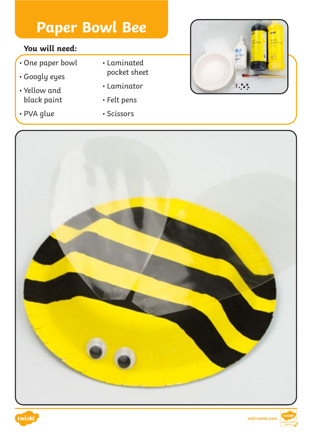### **You will need:**

- One paper bowl
- Googly eyes
- Yellow and black paint
- PVA glue
- Laminated pocket sheet
- Laminator
- Felt pens
- Scissors





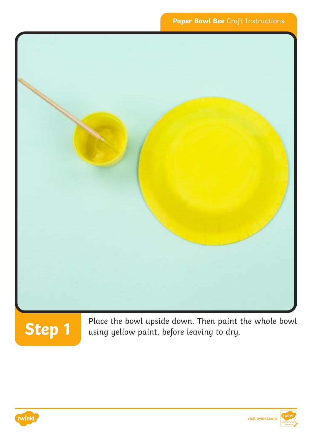



Place the bowl upside down. Then paint the whole bowl using yellow paint, before leaving to dry.

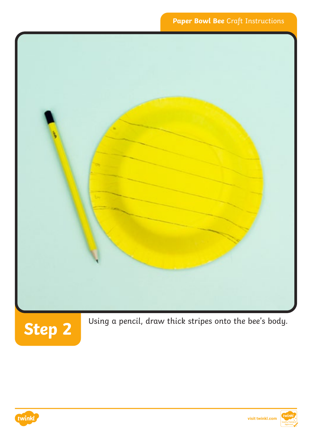

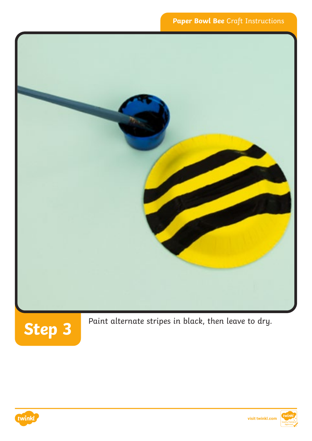



Paint alternate stripes in black, then leave to dry.



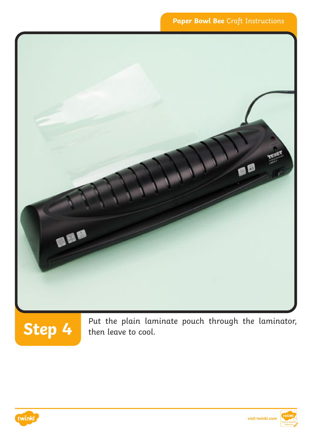#### **Paper Bowl Bee** Craft Instructions



**Step 4** Put the plain laminate pouch through the laminator, then leave to cool.

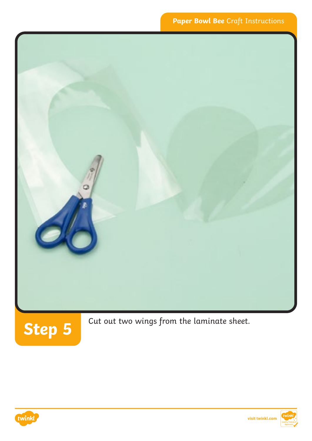

Cut out two wings from the laminate sheet.



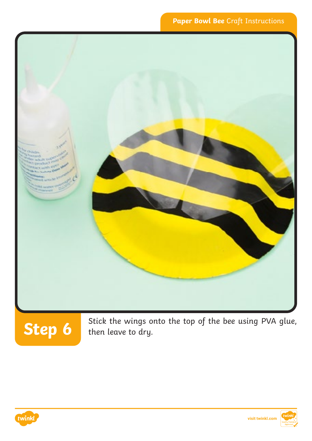

# **Step 6**

Stick the wings onto the top of the bee using PVA glue, then leave to dry.

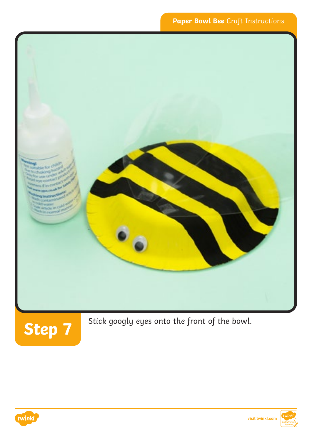### **Paper Bowl Bee** Craft Instructions





Stick googly eyes onto the front of the bowl.